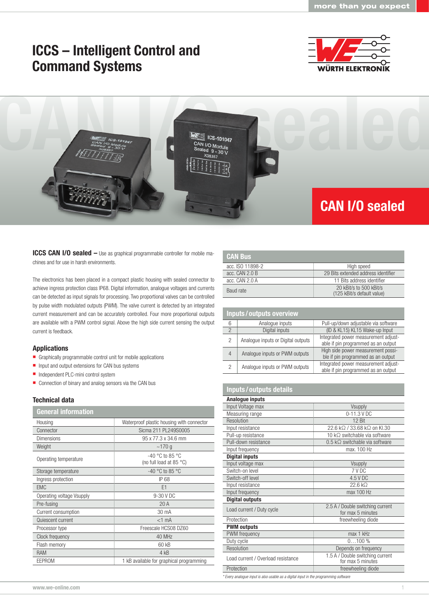## ICCS – Intelligent Control and Command Systems





ICCS CAN I/O sealed – Use as graphical programmable controller for mobile machines and for use in harsh environments.

The electronics has been placed in a compact plastic housing with sealed connector to achieve ingress protection class IP68. Digital information, analogue voltages and currents can be detected as input signals for processing. Two proportional valves can be controlled by pulse width modulated outputs (PWM). The valve current is detected by an integrated current measurement and can be accurately controlled. Four more proportional outputs are available with a PWM control signal. Above the high side current sensing the output current is feedback.

### Applications

- Graphically programmable control unit for mobile applications
- **Input and output extensions for CAN bus systems**
- Independent PLC-mini control system
- Connection of binary and analog sensors via the CAN bus

#### Technical data

| <b>General information</b> |                                              |
|----------------------------|----------------------------------------------|
| Housing                    | Waterproof plastic housing with connector    |
| Connector                  | Sicma 211 PL249S0005                         |
| <b>Dimensions</b>          | 95 x 77.3 x 34.6 mm                          |
| Weight                     | ~170q                                        |
| Operating temperature      | $-40$ °C to 85 °C<br>(no full load at 85 °C) |
| Storage temperature        | $-40$ °C to 85 °C                            |
| Ingress protection         | IP 68                                        |
| <b>EMC</b>                 | E1                                           |
| Operating voltage Vsupply  | 9-30 V DC                                    |
| Pre-fusing                 | 20A                                          |
| Current consumption        | 30 mA                                        |
| Quiescent current          | $<1$ mA                                      |
| Processor type             | Freescale HCS08 DZ60                         |
| Clock frequency            | 40 MHz                                       |
| Flash memory               | 60 kB                                        |
| <b>RAM</b>                 | 4 kB                                         |
| EEPROM                     | 1 kB available for graphical programming     |

| <b>CAN Bus</b>   |                                                       |
|------------------|-------------------------------------------------------|
| acc. ISO 11898-2 | High speed                                            |
| acc. CAN 2.0 B   | 29 Bits extended address identifier                   |
| acc. CAN 2.0 A   | 11 Bits address identifier                            |
| Baud rate        | 20 kBit/s to 500 kBit/s<br>(125 kBit/s default value) |

| <b>Inputs/outputs overview</b> |                                    |                                                                             |
|--------------------------------|------------------------------------|-----------------------------------------------------------------------------|
| 6                              | Analogue inputs                    | Pull-up/down adjustable via software                                        |
|                                | Digital inputs                     | (ID & KL15) KL15 Wake-up Input                                              |
| 2                              | Analogue inputs or Digital outputs | Integrated power measurement adjust-<br>able if pin programmed as an output |
| 4                              | Analogue inputs or PWM outputs     | High side power measurement possi-<br>ble if pin programmed as an output    |
| 2                              | Analogue inputs or PWM outputs     | Integrated power measurement adjust-<br>able if pin programmed as an output |

### Inputs / outputs details

| Analogue inputs                                                                      |                                                       |  |
|--------------------------------------------------------------------------------------|-------------------------------------------------------|--|
| Input Voltage max                                                                    | Vsupply                                               |  |
| Measuring range                                                                      | 0-11.3 V DC                                           |  |
| Resolution                                                                           | 12 Bit                                                |  |
| Input resistance                                                                     | 22.6 kΩ / 33.68 kΩ on Kl.30                           |  |
| Pull-up resistance                                                                   | 10 k $\Omega$ switchable via software                 |  |
| Pull-down resistance                                                                 | $0.5$ k $\Omega$ switchable via software              |  |
| Input frequency                                                                      | max. 100 Hz                                           |  |
| <b>Digital inputs</b>                                                                |                                                       |  |
| Input voltage max                                                                    | <b>Vsupply</b>                                        |  |
| Switch-on level                                                                      | 7 V DC                                                |  |
| Switch-off level                                                                     | 4.5 V DC                                              |  |
| Input resistance                                                                     | 22.6 kQ                                               |  |
| Input frequency                                                                      | max 100 Hz                                            |  |
| <b>Digital outputs</b>                                                               |                                                       |  |
| Load current / Duty cycle                                                            | 2.5 A / Double switching current<br>for max 5 minutes |  |
| Protection                                                                           | freewheeling diode                                    |  |
| <b>PWM outputs</b>                                                                   |                                                       |  |
| <b>PWM</b> frequency                                                                 | max 1 kHz                                             |  |
| Duty cycle                                                                           | $0100\%$                                              |  |
| Resolution                                                                           | Depends on frequency                                  |  |
| Load current / Overload resistance                                                   | 1.5 A / Double switching current<br>for max 5 minutes |  |
| Protection                                                                           | freewheeling diode                                    |  |
| * Every analoque input is also usable as a digital input in the programming software |                                                       |  |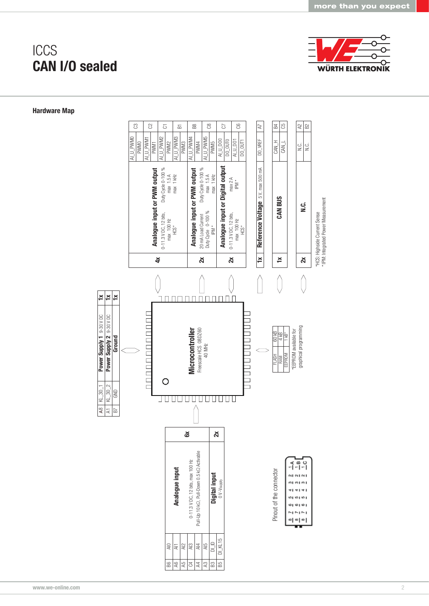

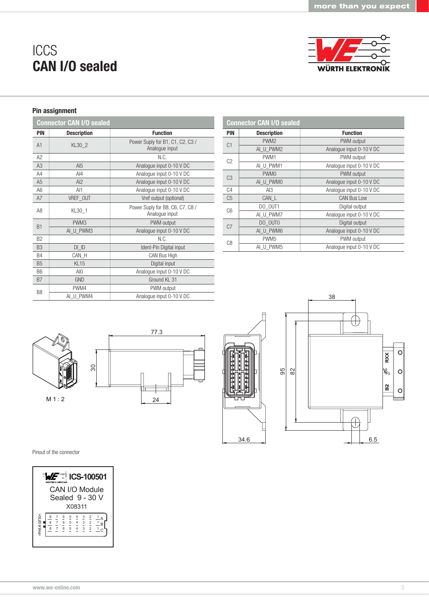**WÜRTH ELEKTRONIK** 

# **ICCS** CAN I/O sealed

### Pin assignment

|                | <b>Connector CAN I/O sealed</b> |                                                    |
|----------------|---------------------------------|----------------------------------------------------|
| <b>PIN</b>     | <b>Description</b>              | <b>Function</b>                                    |
| A <sub>1</sub> | KL30 2                          | Power Suply for B1, C1, C2, C3 /<br>Analogue input |
| A2             |                                 | N.C.                                               |
| A <sub>3</sub> | AI <sub>5</sub>                 | Analogue input 0-10 V DC                           |
| A4             | $A$ $A$                         | Analogue input 0-10 V DC                           |
| A <sub>5</sub> | AI2                             | Analogue input 0-10 V DC                           |
| A6             | AI1                             | Analogue input 0-10 V DC                           |
| A7             | VREF OUT                        | Vref output (optional)                             |
| A8             | KL30 1                          | Power Suply for B8, C6, C7, C8 /<br>Analogue input |
| B <sub>1</sub> | PWM <sub>3</sub>                | PWM output                                         |
|                | AI U PWM3                       | Analogue input 0-10 V DC                           |
| B <sub>2</sub> |                                 | N.C.                                               |
| B <sub>3</sub> | DI ID                           | Ident-Pin Digital input                            |
| <b>B4</b>      | CAN H                           | CAN Bus High                                       |
| <b>B5</b>      | KL <sub>15</sub>                | Digital input                                      |
| B <sub>6</sub> | AIO                             | Analogue input 0-10 V DC                           |
| B7             | <b>GND</b>                      | Ground KL 31                                       |
| B <sub>8</sub> | PWM4                            | PWM output                                         |
|                | AI U PWM4                       | Analogue input 0-10 V DC                           |

| <b>Connector CAN I/O sealed</b> |                    |                          |
|---------------------------------|--------------------|--------------------------|
| <b>PIN</b>                      | <b>Description</b> | <b>Function</b>          |
| C <sub>1</sub>                  | PWM <sub>2</sub>   | PWM output               |
|                                 | AI U PWM2          | Analogue input 0-10 V DC |
| C <sub>2</sub>                  | PWM1               | PWM output               |
|                                 | AI U PWM1          | Analogue input 0-10 V DC |
| C <sub>3</sub>                  | PWM <sub>0</sub>   | PWM output               |
|                                 | AI U PWMO          | Analogue input 0-10 V DC |
| C <sub>4</sub>                  | Al3                | Analogue input 0-10 V DC |
| C <sub>5</sub>                  | CAN L              | <b>CAN Bus Low</b>       |
| C <sub>6</sub>                  | DO OUT1            | Digital output           |
|                                 | AI U PWM7          | Analogue input 0-10 V DC |
| C <sub>0</sub>                  | DO OUTO            | Digital output           |
|                                 | AI U PWM6          | Analogue input 0-10 V DC |
| C <sub>8</sub>                  | PWM <sub>5</sub>   | PWM output               |
|                                 | AI U PWM5          | Analogue input 0-10 V DC |

38

38







Pinout of the connector



6.5 6.5

 $RXX$  $\circ$ 

R  $\circ$ 

 $\mathbf{\underline{\mathsf{N}}}$  $\circ$